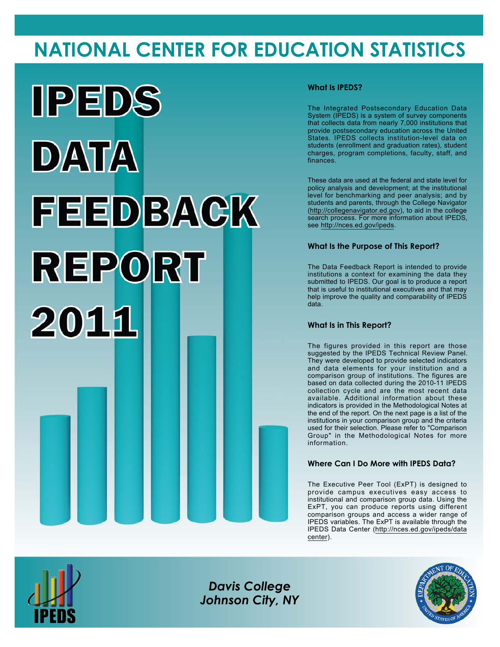# **NATIONAL CENTER FOR EDUCATION STATISTICS**



#### **What Is IPEDS?**

The Integrated Postsecondary Education Data System (IPEDS) is a system of survey components that collects data from nearly 7,000 institutions that provide postsecondary education across the United States. IPEDS collects institution-level data on students (enrollment and graduation rates), student charges, program completions, faculty, staff, and finances.

These data are used at the federal and state level for policy analysis and development; at the institutional level for benchmarking and peer analysis; and by students and parents, through the College Navigator (<http://collegenavigator.ed.gov>), to aid in the college search process. For more information about IPEDS, see [http://nces.ed.gov/ipeds.](http://nces.ed.gov/ipeds)

#### **What Is the Purpose of This Report?**

The Data Feedback Report is intended to provide institutions a context for examining the data they submitted to IPEDS. Our goal is to produce a report that is useful to institutional executives and that may help improve the quality and comparability of IPEDS data.

#### **What Is in This Report?**

The figures provided in this report are those suggested by the IPEDS Technical Review Panel. They were developed to provide selected indicators and data elements for your institution and a comparison group of institutions. The figures are based on data collected during the 2010-11 IPEDS collection cycle and are the most recent data available. Additional information about these indicators is provided in the Methodological Notes at the end of the report. On the next page is a list of the institutions in your comparison group and the criteria used for their selection. Please refer to "Comparison Group" in the Methodological Notes for more information.

#### **Where Can I Do More with IPEDS Data?**

The Executive Peer Tool (ExPT) is designed to provide campus executives easy access to institutional and comparison group data. Using the ExPT, you can produce reports using different comparison groups and access a wider range of IPEDS variables. The ExPT is available through the IPEDS Data Center ([http://nces.ed.gov/ipeds/data](http://nces.ed.gov/ipeds/datacenter) [center](http://nces.ed.gov/ipeds/datacenter)).



Image description. Cover Image End of image description.

*Davis College Johnson City, NY*

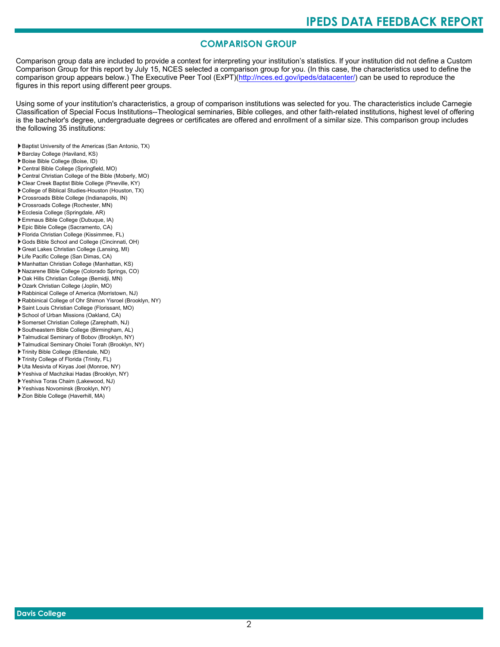### **COMPARISON GROUP**

Comparison group data are included to provide a context for interpreting your institution's statistics. If your institution did not define a Custom Comparison Group for this report by July 15, NCES selected a comparison group for you. (In this case, the characteristics used to define the comparison group appears below.) The Executive Peer Tool (ExPT)[\(http://nces.ed.gov/ipeds/datacenter/\)](http://nces.ed.gov/ipeds/datacenter/) can be used to reproduce the figures in this report using different peer groups.

Using some of your institution's characteristics, a group of comparison institutions was selected for you. The characteristics include Carnegie Classification of Special Focus Institutions--Theological seminaries, Bible colleges, and other faith-related institutions, highest level of offering is the bachelor's degree, undergraduate degrees or certificates are offered and enrollment of a similar size. This comparison group includes the following 35 institutions:

- Baptist University of the Americas (San Antonio, TX)
- Barclay College (Haviland, KS)
- Boise Bible College (Boise, ID)
- Central Bible College (Springfield, MO)
- Central Christian College of the Bible (Moberly, MO)
- Clear Creek Baptist Bible College (Pineville, KY)
- College of Biblical Studies-Houston (Houston, TX)
- Crossroads Bible College (Indianapolis, IN)
- Crossroads College (Rochester, MN)
- Ecclesia College (Springdale, AR)
- Emmaus Bible College (Dubuque, IA)
- Epic Bible College (Sacramento, CA)
- Florida Christian College (Kissimmee, FL) Gods Bible School and College (Cincinnati, OH)
- 
- Great Lakes Christian College (Lansing, MI)
- Life Pacific College (San Dimas, CA)
- Manhattan Christian College (Manhattan, KS)
- Nazarene Bible College (Colorado Springs, CO) Oak Hills Christian College (Bemidji, MN)
- 
- Ozark Christian College (Joplin, MO) Rabbinical College of America (Morristown, NJ)
- Rabbinical College of Ohr Shimon Yisroel (Brooklyn, NY)
- Saint Louis Christian College (Florissant, MO)
- School of Urban Missions (Oakland, CA)
- Somerset Christian College (Zarephath, NJ)
- Southeastern Bible College (Birmingham, AL)
- Talmudical Seminary of Bobov (Brooklyn, NY)
- Talmudical Seminary Oholei Torah (Brooklyn, NY)
- Trinity Bible College (Ellendale, ND)
- Trinity College of Florida (Trinity, FL)
- Uta Mesivta of Kiryas Joel (Monroe, NY)
- Yeshiva of Machzikai Hadas (Brooklyn, NY)
- Yeshiva Toras Chaim (Lakewood, NJ)
- Yeshivas Novominsk (Brooklyn, NY)
- Zion Bible College (Haverhill, MA)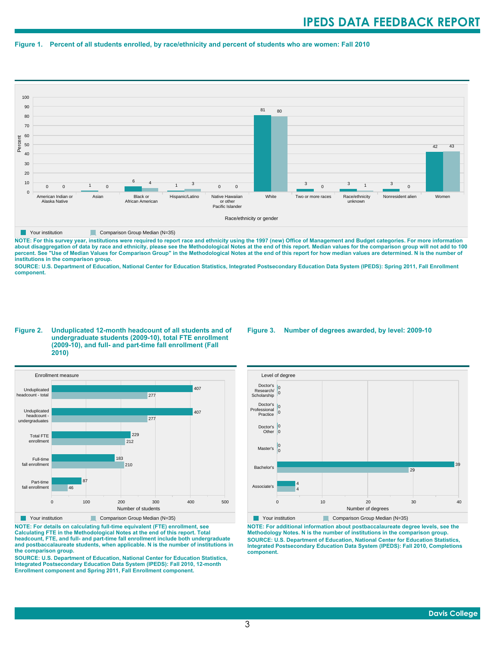#### **Figure 1. Percent of all students enrolled, by race/ethnicity and percent of students who are women: Fall 2010**



**NOTE: For this survey year, institutions were required to report race and ethnicity using the 1997 (new) Office of Management and Budget categories. For more information** about disaggregation of data by race and ethnicity, please see the Methodological Notes at the end of this report. Median values for the comparison group will not add to 100<br>percent. See "Use of Median Values for Compariso **institutions in the comparison group.**

**SOURCE: U.S. Department of Education, National Center for Education Statistics, Integrated Postsecondary Education Data System (IPEDS): Spring 2011, Fall Enrollment component.**

#### **Figure 2. Unduplicated 12-month headcount of all students and of undergraduate students (2009-10), total FTE enrollment (2009-10), and full- and part-time fall enrollment (Fall 2010)**



**NOTE: For details on calculating full-time equivalent (FTE) enrollment, see Calculating FTE in the Methodological Notes at the end of this report. Total headcount, FTE, and full- and part-time fall enrollment include both undergraduate and postbaccalaureate students, when applicable. N is the number of institutions in the comparison group.**

**SOURCE: U.S. Department of Education, National Center for Education Statistics, Integrated Postsecondary Education Data System (IPEDS): Fall 2010, 12-month Enrollment component and Spring 2011, Fall Enrollment component.**

#### **Figure 3. Number of degrees awarded, by level: 2009-10**



**NOTE: For additional information about postbaccalaureate degree levels, see the Methodology Notes. N is the number of institutions in the comparison group. SOURCE: U.S. Department of Education, National Center for Education Statistics, Integrated Postsecondary Education Data System (IPEDS): Fall 2010, Completions component.**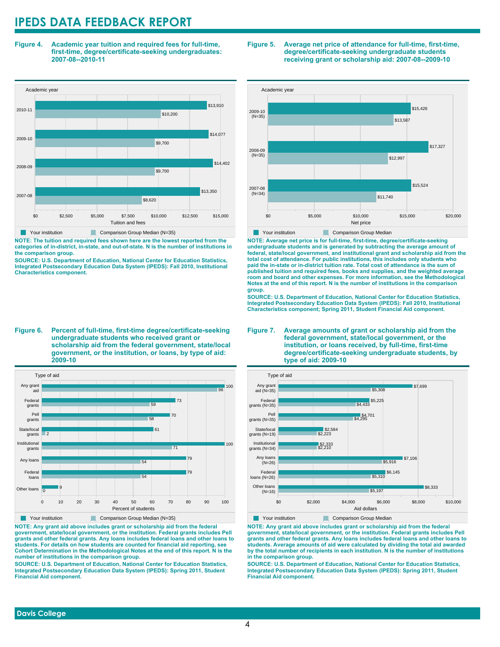**Figure 4. Academic year tuition and required fees for full-time, first-time, degree/certificate-seeking undergraduates: 2007-08--2010-11**



**NOTE: The tuition and required fees shown here are the lowest reported from the categories of in-district, in-state, and out-of-state. N is the number of institutions in the comparison group.**

**SOURCE: U.S. Department of Education, National Center for Education Statistics, Integrated Postsecondary Education Data System (IPEDS): Fall 2010, Institutional Characteristics component.**

**Figure 6. Percent of full-time, first-time degree/certificate-seeking undergraduate students who received grant or scholarship aid from the federal government, state/local government, or the institution, or loans, by type of aid: 2009-10**



**NOTE: Any grant aid above includes grant or scholarship aid from the federal government, state/local government, or the institution. Federal grants includes Pell grants and other federal grants. Any loans includes federal loans and other loans to students. For details on how students are counted for financial aid reporting, see Cohort Determination in the Methodological Notes at the end of this report. N is the number of institutions in the comparison group.**

**SOURCE: U.S. Department of Education, National Center for Education Statistics, Integrated Postsecondary Education Data System (IPEDS): Spring 2011, Student Financial Aid component.**

#### **Figure 5. Average net price of attendance for full-time, first-time, degree/certificate-seeking undergraduate students receiving grant or scholarship aid: 2007-08--2009-10**



**NOTE: Average net price is for full-time, first-time, degree/certificate-seeking undergraduate students and is generated by subtracting the average amount of federal, state/local government, and institutional grant and scholarship aid from the total cost of attendance. For public institutions, this includes only students who paid the in-state or in-district tuition rate. Total cost of attendance is the sum of published tuition and required fees, books and supplies, and the weighted average room and board and other expenses. For more information, see the Methodological Notes at the end of this report. N is the number of institutions in the comparison group.**

**SOURCE: U.S. Department of Education, National Center for Education Statistics, Integrated Postsecondary Education Data System (IPEDS): Fall 2010, Institutional Characteristics component; Spring 2011, Student Financial Aid component.**





**NOTE: Any grant aid above includes grant or scholarship aid from the federal government, state/local government, or the institution. Federal grants includes Pell grants and other federal grants. Any loans includes federal loans and other loans to students. Average amounts of aid were calculated by dividing the total aid awarded by the total number of recipients in each institution. N is the number of institutions in the comparison group.**

**SOURCE: U.S. Department of Education, National Center for Education Statistics, Integrated Postsecondary Education Data System (IPEDS): Spring 2011, Student Financial Aid component.**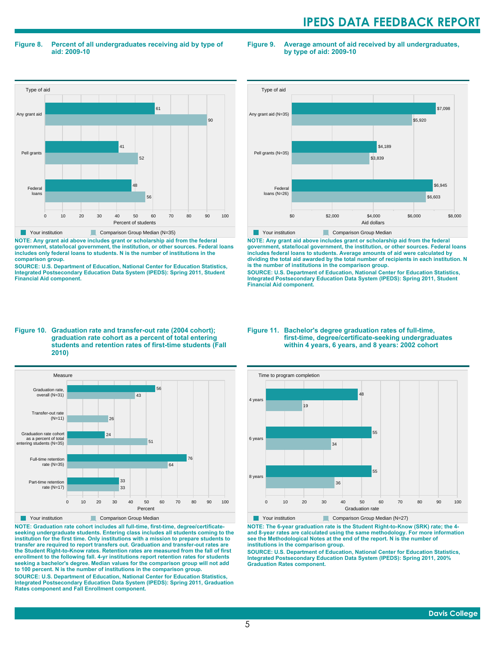#### **Figure 8. Percent of all undergraduates receiving aid by type of aid: 2009-10**

**Figure 9. Average amount of aid received by all undergraduates, by type of aid: 2009-10**



**NOTE: Any grant aid above includes grant or scholarship aid from the federal government, state/local government, the institution, or other sources. Federal loans includes only federal loans to students. N is the number of institutions in the comparison group.**

**SOURCE: U.S. Department of Education, National Center for Education Statistics, Integrated Postsecondary Education Data System (IPEDS): Spring 2011, Student Financial Aid component.**



**NOTE: Any grant aid above includes grant or scholarship aid from the federal government, state/local government, the institution, or other sources. Federal loans includes federal loans to students. Average amounts of aid were calculated by dividing the total aid awarded by the total number of recipients in each institution. N is the number of institutions in the comparison group.**

**SOURCE: U.S. Department of Education, National Center for Education Statistics, Integrated Postsecondary Education Data System (IPEDS): Spring 2011, Student Financial Aid component.**

#### **Figure 10. Graduation rate and transfer-out rate (2004 cohort); graduation rate cohort as a percent of total entering students and retention rates of first-time students (Fall 2010)**



**NOTE: Graduation rate cohort includes all full-time, first-time, degree/certificateseeking undergraduate students. Entering class includes all students coming to the institution for the first time. Only institutions with a mission to prepare students to transfer are required to report transfers out. Graduation and transfer-out rates are the Student Right-to-Know rates. Retention rates are measured from the fall of first enrollment to the following fall. 4-yr institutions report retention rates for students seeking a bachelor's degree. Median values for the comparison group will not add to 100 percent. N is the number of institutions in the comparison group.**

**SOURCE: U.S. Department of Education, National Center for Education Statistics, Integrated Postsecondary Education Data System (IPEDS): Spring 2011, Graduation Rates component and Fall Enrollment component.**

#### **Figure 11. Bachelor's degree graduation rates of full-time, first-time, degree/certificate-seeking undergraduates within 4 years, 6 years, and 8 years: 2002 cohort**



**NOTE: The 6-year graduation rate is the Student Right-to-Know (SRK) rate; the 4 and 8-year rates are calculated using the same methodology. For more information see the Methodological Notes at the end of the report. N is the number of institutions in the comparison group.**

**SOURCE: U.S. Department of Education, National Center for Education Statistics, Integrated Postsecondary Education Data System (IPEDS): Spring 2011, 200% Graduation Rates component.**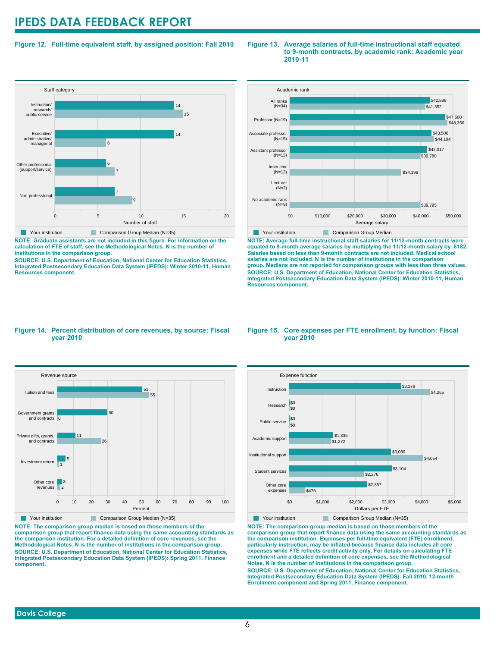#### **Figure 12. Full-time equivalent staff, by assigned position: Fall 2010**

#### **Staff category** 0 5 10 15 20 Number of staff Non-professional Other professional (support/service) Executive/ administrative/ managerial Instruction/ research/ public service 9 7 7 6 6 14 15 14 Your institution Comparison Group Median (N=35)

**NOTE: Graduate assistants are not included in this figure. For information on the calculation of FTE of staff, see the Methodological Notes. N is the number of institutions in the comparison group.**

**SOURCE: U.S. Department of Education, National Center for Education Statistics, Integrated Postsecondary Education Data System (IPEDS): Winter 2010-11, Human Resources component.**



**Figure 13. Average salaries of full-time instructional staff equated**

**2010-11**

**to 9-month contracts, by academic rank: Academic year**

**NOTE: Average full-time instructional staff salaries for 11/12-month contracts were equated to 9-month average salaries by multiplying the 11/12-month salary by .8182. Salaries based on less than 9-month contracts are not included. Medical school salaries are not included. N is the number of institutions in the comparison group. Medians are not reported for comparison groups with less than three values. SOURCE: U.S. Department of Education, National Center for Education Statistics, Integrated Postsecondary Education Data System (IPEDS): Winter 2010-11, Human Resources component.**

#### **Figure 14. Percent distribution of core revenues, by source: Fiscal year 2010**



**NOTE: The comparison group median is based on those members of the comparison group that report finance data using the same accounting standards as the comparison institution. For a detailed definition of core revenues, see the Methodological Notes. N is the number of institutions in the comparison group. SOURCE: U.S. Department of Education, National Center for Education Statistics, Integrated Postsecondary Education Data System (IPEDS): Spring 2011, Finance component.**

#### **Figure 15. Core expenses per FTE enrollment, by function: Fiscal year 2010**



Your institution Comparison Group Median (N=35) **NOTE: The comparison group median is based on those members of the**

**comparison group that report finance data using the same accounting standards as the comparison institution. Expenses per full-time equivalent (FTE) enrollment, particularly instruction, may be inflated because finance data includes all core expenses while FTE reflects credit activity only. For details on calculating FTE enrollment and a detailed definition of core expenses, see the Methodological Notes. N is the number of institutions in the comparison group. SOURCE: U.S. Department of Education, National Center for Education Statistics, Integrated Postsecondary Education Data System (IPEDS): Fall 2010, 12-month Enrollment component and Spring 2011, Finance component.**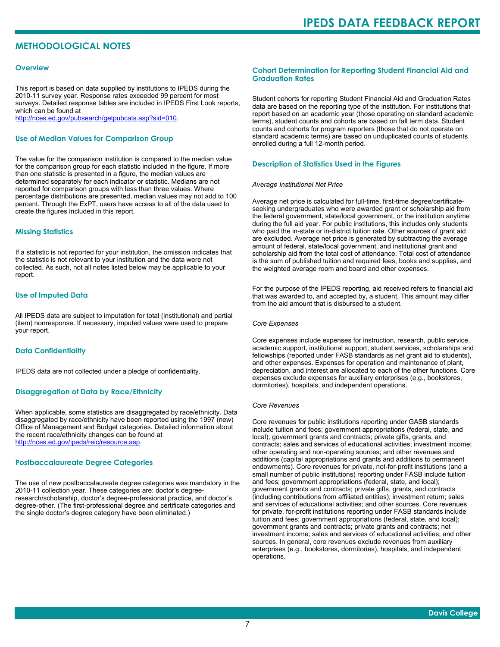### **METHODOLOGICAL NOTES**

#### **Overview**

This report is based on data supplied by institutions to IPEDS during the 2010-11 survey year. Response rates exceeded 99 percent for most surveys. Detailed response tables are included in IPEDS First Look reports, which can be found at [http://nces.ed.gov/pubsearch/getpubcats.asp?sid=010.](http://nces.ed.gov/pubsearch/getpubcats.asp?sid=010)

#### **Use of Median Values for Comparison Group**

The value for the comparison institution is compared to the median value for the comparison group for each statistic included in the figure. If more than one statistic is presented in a figure, the median values are determined separately for each indicator or statistic. Medians are not reported for comparison groups with less than three values. Where percentage distributions are presented, median values may not add to 100 percent. Through the ExPT, users have access to all of the data used to create the figures included in this report.

#### **Missing Statistics**

If a statistic is not reported for your institution, the omission indicates that the statistic is not relevant to your institution and the data were not collected. As such, not all notes listed below may be applicable to your report.

#### **Use of Imputed Data**

All IPEDS data are subject to imputation for total (institutional) and partial (item) nonresponse. If necessary, imputed values were used to prepare your report.

#### **Data Confidentiality**

IPEDS data are not collected under a pledge of confidentiality.

#### **Disaggregation of Data by Race/Ethnicity**

When applicable, some statistics are disaggregated by race/ethnicity. Data disaggregated by race/ethnicity have been reported using the 1997 (new) Office of Management and Budget categories. Detailed information about the recent race/ethnicity changes can be found at <http://nces.ed.gov/ipeds/reic/resource.asp>.

#### **Postbaccalaureate Degree Categories**

The use of new postbaccalaureate degree categories was mandatory in the 2010-11 collection year. These categories are: doctor's degreeresearch/scholarship, doctor's degree-professional practice, and doctor's degree-other. (The first-professional degree and certificate categories and the single doctor's degree category have been eliminated.)

#### **Cohort Determination for Reporting Student Financial Aid and Graduation Rates**

Student cohorts for reporting Student Financial Aid and Graduation Rates data are based on the reporting type of the institution. For institutions that report based on an academic year (those operating on standard academic terms), student counts and cohorts are based on fall term data. Student counts and cohorts for program reporters (those that do not operate on standard academic terms) are based on unduplicated counts of students enrolled during a full 12-month period.

#### **Description of Statistics Used in the Figures**

#### *Average Institutional Net Price*

Average net price is calculated for full-time, first-time degree/certificateseeking undergraduates who were awarded grant or scholarship aid from the federal government, state/local government, or the institution anytime during the full aid year. For public institutions, this includes only students who paid the in-state or in-district tuition rate. Other sources of grant aid are excluded. Average net price is generated by subtracting the average amount of federal, state/local government, and institutional grant and scholarship aid from the total cost of attendance. Total cost of attendance is the sum of published tuition and required fees, books and supplies, and the weighted average room and board and other expenses.

For the purpose of the IPEDS reporting, aid received refers to financial aid that was awarded to, and accepted by, a student. This amount may differ from the aid amount that is disbursed to a student.

#### *Core Expenses*

Core expenses include expenses for instruction, research, public service, academic support, institutional support, student services, scholarships and fellowships (reported under FASB standards as net grant aid to students), and other expenses. Expenses for operation and maintenance of plant, depreciation, and interest are allocated to each of the other functions. Core expenses exclude expenses for auxiliary enterprises (e.g., bookstores, dormitories), hospitals, and independent operations.

#### *Core Revenues*

Core revenues for public institutions reporting under GASB standards include tuition and fees; government appropriations (federal, state, and local); government grants and contracts; private gifts, grants, and contracts; sales and services of educational activities; investment income; other operating and non-operating sources; and other revenues and additions (capital appropriations and grants and additions to permanent endowments). Core revenues for private, not-for-profit institutions (and a small number of public institutions) reporting under FASB include tuition and fees; government appropriations (federal, state, and local); government grants and contracts; private gifts, grants, and contracts (including contributions from affiliated entities); investment return; sales and services of educational activities; and other sources. Core revenues for private, for-profit institutions reporting under FASB standards include tuition and fees; government appropriations (federal, state, and local); government grants and contracts; private grants and contracts; net investment income; sales and services of educational activities; and other sources. In general, core revenues exclude revenues from auxiliary enterprises (e.g., bookstores, dormitories), hospitals, and independent operations.